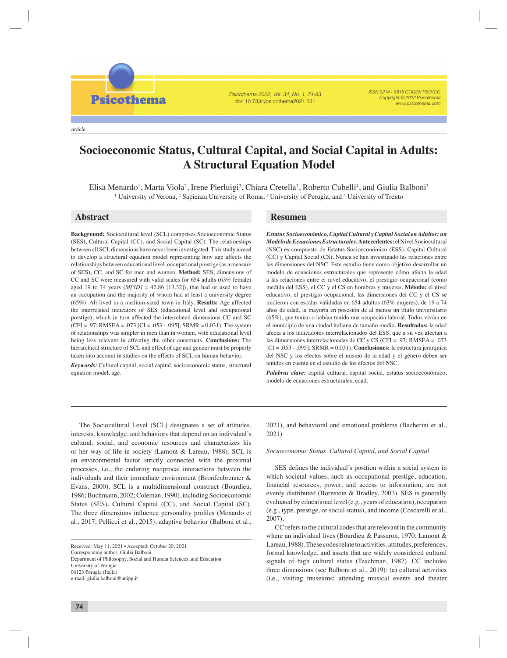Psicothema 2022, Vol. 34, No. 1, 74-83 doi: 10.7334/psicothema2021.231

ISSN 0214 - 9915 CODEN PSOTEG Copyright © 2022 Psicothema www.psicothema.com

*Article*

**Psicothema** 

# **Socioeconomic Status, Cultural Capital, and Social Capital in Adults: A Structural Equation Model**

Elisa Menardo, Marta Viola, Irene Pierluigi, Chiara Cretella, Roberto Cubelli, and Giulia Balboni

Elisa Menardo<sup>1</sup>, Marta Viola<sup>2</sup>, Irene Pierluigi<sup>3</sup>, Chiara Cretella<sup>3</sup>, Roberto Cubelli<sup>4</sup>, and Giulia Balboni<sup>3</sup> <sup>1</sup> University of Verona, <sup>2</sup> Sapienza University of Roma, <sup>3</sup> University of Perugia, and <sup>4</sup> University of Trento

**Background:** Sociocultural level (SCL) comprises Socioeconomic Status (SES), Cultural Capital (CC), and Social Capital (SC). The relationships between all SCL dimensions have never been investigated. This study aimed to develop a structural equation model representing how age affects the relationships between educational level, occupational prestige (as a measure of SES), CC, and SC for men and women. **Method:** SES, dimensions of CC and SC were measured with valid scales for 654 adults (63% female) aged 19 to 74 years  $(M[SD] = 42.86 [13.32])$ , that had or used to have an occupation and the majority of whom had at least a university degree (65%). All lived in a medium-sized town in Italy. **Results:** Age affected the interrelated indicators of SES (educational level and occupational prestige), which in turn affected the interrelated dimensions CC and SC  $(CFI = .97; RMSEA = .073$   $[CI = .053 - .095]$ ;  $SRMR = 0.031$ ). The system of relationships was simpler in men than in women, with educational level being less relevant in affecting the other constructs. **Conclusions:** The hierarchical structure of SCL and effect of age and gender must be properly taken into account in studies on the effects of SCL on human behavior.

*Keywords:* Cultural capital, social capital, socioeconomic status, structural equation model, age.

# **Abstract Resumen**

*Estatus Socioeconómico, Capital Cultural y Capital Social en Adultos: un Modelo de Ecuaciones Estructurales.***Antecedentes:** el Nivel Sociocultural (NSC) es compuesto de Estatus Socioeconómico (ESS), Capital Cultural (CC) y Capital Social (CS). Nunca se han investigado las relaciones entre las dimensiones del NSC. Este estudio tiene como objetivo desarrollar un modelo de ecuaciones estructurales que represente cómo afecta la edad a las relaciones entre el nivel educativo, el prestigio ocupacional (como medida del ESS), el CC y el CS en hombres y mujeres. **Método:** el nivel educativo, el prestigio ocupacional, las dimensiones del CC y el CS se midieron con escalas validadas en 654 adultos (63% mujeres), de 19 a 74 años de edad, la mayoría en posesión de al menos un título universitario (65%), que tenían o habían tenido una ocupación laboral. Todos vivían en el municipio de una ciudad italiana de tamaño medio. **Resultados:** la edad afecta a los indicadores interrelacionados del ESS, que a su vez afectan a las dimensiones interrelacionadas de CC y CS (CFI = .97; RMSEA = .073 [CI = .053 - .095]; SRMR = 0.031). **Conclusiones:** la estructura jerárquica del NSC y los efectos sobre el mismo de la edad y el género deben ser tenidos en cuenta en el estudio de los efectos del NSC.

*Palabras clave:* capital cultural, capital social, estatus socioeconómico, modelo de ecuaciones estructurales, edad.

The Sociocultural Level (SCL) designates a set of attitudes, interests, knowledge, and behaviors that depend on an individual's cultural, social, and economic resources and characterizes his or her way of life in society (Lamont & Lareau, 1988). SCL is an environmental factor strictly connected with the proximal processes, i.e., the enduring reciprocal interactions between the individuals and their immediate environment (Bronfenbrenner & Evans, 2000). SCL is a multidimensional construct (Bourdieu, 1986; Buchmann, 2002; Coleman, 1990), including Socioeconomic Status (SES), Cultural Capital (CC), and Social Capital (SC). The three dimensions influence personality profiles (Menardo et al., 2017; Pellicci et al., 2015), adaptive behavior (Balboni et al.,

Received: May 11, 2021 • Accepted: October 20, 2021 Corresponding author: Giulia Balboni Department of Philosophy, Social and Human Sciences, and Education University of Perugia 06123 Perugia (Italia) e-mail: giulia.balboni@unipg.it

2021), and behavioral and emotional problems (Bacherini et al., 2021)

*Socioeconomic Status, Cultural Capital, and Social Capital*

SES defines the individual's position within a social system in which societal values, such as occupational prestige, education, financial resources, power, and access to information, are not evenly distributed (Bornstein & Bradley, 2003). SES is generally evaluated by educational level (e.g., years of education), occupation (e.g., type, prestige, or social status), and income (Coscarelli et al., 2007).

CC refers to the cultural codes that are relevant in the community where an individual lives (Bourdieu & Passeron, 1970; Lamont & Lareau, 1988). These codes relate to activities, attitudes, preferences, formal knowledge, and assets that are widely considered cultural signals of high cultural status (Teachman, 1987). CC includes three dimensions (see Balboni et al., 2019): (a) cultural activities (i.e., visiting museums; attending musical events and theater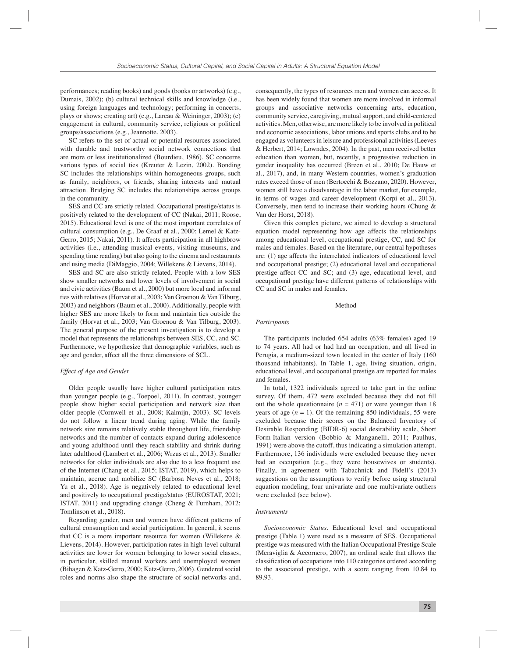performances; reading books) and goods (books or artworks) (e.g., Dumais, 2002); (b) cultural technical skills and knowledge (i.e., using foreign languages and technology; performing in concerts, plays or shows; creating art) (e.g., Lareau & Weininger, 2003); (c) engagement in cultural, community service, religious or political groups/associations (e.g., Jeannotte, 2003).

SC refers to the set of actual or potential resources associated with durable and trustworthy social network connections that are more or less institutionalized (Bourdieu, 1986). SC concerns various types of social ties (Kreuter & Lezin, 2002). Bonding SC includes the relationships within homogeneous groups, such as family, neighbors, or friends, sharing interests and mutual attraction. Bridging SC includes the relationships across groups in the community.

SES and CC are strictly related. Occupational prestige/status is positively related to the development of CC (Nakai, 2011; Roose, 2015). Educational level is one of the most important correlates of cultural consumption (e.g., De Graaf et al., 2000; Lemel & Katz-Gerro, 2015; Nakai, 2011). It affects participation in all highbrow activities (i.e., attending musical events, visiting museums, and spending time reading) but also going to the cinema and restaurants and using media (DiMaggio, 2004; Willekens & Lievens, 2014).

SES and SC are also strictly related. People with a low SES show smaller networks and lower levels of involvement in social and civic activities (Baum et al., 2000) but more local and informal ties with relatives (Horvat et al., 2003; Van Groenou & Van Tilburg, 2003) and neighbors (Baum et al., 2000). Additionally, people with higher SES are more likely to form and maintain ties outside the family (Horvat et al., 2003; Van Groenou & Van Tilburg, 2003). The general purpose of the present investigation is to develop a model that represents the relationships between SES, CC, and SC. Furthermore, we hypothesize that demographic variables, such as age and gender, affect all the three dimensions of SCL.

# *Effect of Age and Gender*

Older people usually have higher cultural participation rates than younger people (e.g., Toepoel, 2011). In contrast, younger people show higher social participation and network size than older people (Cornwell et al., 2008; Kalmijn, 2003). SC levels do not follow a linear trend during aging. While the family network size remains relatively stable throughout life, friendship networks and the number of contacts expand during adolescence and young adulthood until they reach stability and shrink during later adulthood (Lambert et al., 2006; Wrzus et al., 2013). Smaller networks for older individuals are also due to a less frequent use of the Internet (Chang et al., 2015; ISTAT, 2019), which helps to maintain, accrue and mobilize SC (Barbosa Neves et al., 2018; Yu et al., 2018). Age is negatively related to educational level and positively to occupational prestige/status (EUROSTAT, 2021; ISTAT, 2011) and upgrading change (Cheng & Furnham, 2012; Tomlinson et al., 2018).

Regarding gender, men and women have different patterns of cultural consumption and social participation. In general, it seems that CC is a more important resource for women (Willekens & Lievens, 2014). However, participation rates in high-level cultural activities are lower for women belonging to lower social classes, in particular, skilled manual workers and unemployed women (Bihagen & Katz-Gerro, 2000; Katz-Gerro, 2006). Gendered social roles and norms also shape the structure of social networks and,

consequently, the types of resources men and women can access. It has been widely found that women are more involved in informal groups and associative networks concerning arts, education, community service, caregiving, mutual support, and child-centered activities. Men, otherwise, are more likely to be involved in political and economic associations, labor unions and sports clubs and to be engaged as volunteers in leisure and professional activities (Leeves & Herbert, 2014; Lowndes, 2004). In the past, men received better education than women, but, recently, a progressive reduction in gender inequality has occurred (Breen et al., 2010; De Hauw et al., 2017), and, in many Western countries, women's graduation rates exceed those of men (Bertocchi & Bozzano, 2020). However, women still have a disadvantage in the labor market, for example, in terms of wages and career development (Korpi et al., 2013). Conversely, men tend to increase their working hours (Chung & Van der Horst, 2018).

Given this complex picture, we aimed to develop a structural equation model representing how age affects the relationships among educational level, occupational prestige, CC, and SC for males and females. Based on the literature, our central hypotheses are: (1) age affects the interrelated indicators of educational level and occupational prestige; (2) educational level and occupational prestige affect CC and SC; and (3) age, educational level, and occupational prestige have different patterns of relationships with CC and SC in males and females.

# Method

# *Participants*

The participants included 654 adults (63% females) aged 19 to 74 years. All had or had had an occupation, and all lived in Perugia, a medium-sized town located in the center of Italy (160 thousand inhabitants). In Table 1, age, living situation, origin, educational level, and occupational prestige are reported for males and females.

In total, 1322 individuals agreed to take part in the online survey. Of them, 472 were excluded because they did not fill out the whole questionnaire  $(n = 471)$  or were younger than 18 years of age  $(n = 1)$ . Of the remaining 850 individuals, 55 were excluded because their scores on the Balanced Inventory of Desirable Responding (BIDR-6) social desirability scale, Short Form-Italian version (Bobbio & Manganelli, 2011; Paulhus, 1991) were above the cutoff, thus indicating a simulation attempt. Furthermore, 136 individuals were excluded because they never had an occupation (e.g., they were housewives or students). Finally, in agreement with Tabachnick and Fidell's (2013) suggestions on the assumptions to verify before using structural equation modeling, four univariate and one multivariate outliers were excluded (see below).

# *Instruments*

*Socioeconomic Status.* Educational level and occupational prestige (Table 1) were used as a measure of SES. Occupational prestige was measured with the Italian Occupational Prestige Scale (Meraviglia & Accornero, 2007), an ordinal scale that allows the classification of occupations into 110 categories ordered according to the associated prestige, with a score ranging from 10.84 to 89.93.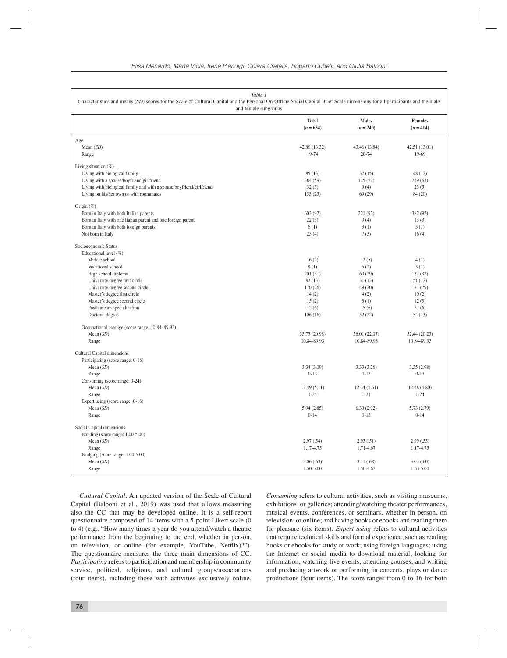| Table 1<br>Characteristics and means (SD) scores for the Scale of Cultural Capital and the Personal On-Offline Social Capital Brief Scale dimensions for all participants and the male<br>and female subgroups                                                                                                                                                                                                                                                                                                                                                                                                                                                                                                                                                       |                                                                                                                                                                                                                            |                                                                                                                                                                                                         |                                                                                                                                                                                                 |  |
|----------------------------------------------------------------------------------------------------------------------------------------------------------------------------------------------------------------------------------------------------------------------------------------------------------------------------------------------------------------------------------------------------------------------------------------------------------------------------------------------------------------------------------------------------------------------------------------------------------------------------------------------------------------------------------------------------------------------------------------------------------------------|----------------------------------------------------------------------------------------------------------------------------------------------------------------------------------------------------------------------------|---------------------------------------------------------------------------------------------------------------------------------------------------------------------------------------------------------|-------------------------------------------------------------------------------------------------------------------------------------------------------------------------------------------------|--|
|                                                                                                                                                                                                                                                                                                                                                                                                                                                                                                                                                                                                                                                                                                                                                                      | <b>Total</b><br>$(n = 654)$                                                                                                                                                                                                | <b>Males</b><br>$(n = 240)$                                                                                                                                                                             | <b>Females</b><br>$(n = 414)$                                                                                                                                                                   |  |
| Age                                                                                                                                                                                                                                                                                                                                                                                                                                                                                                                                                                                                                                                                                                                                                                  |                                                                                                                                                                                                                            |                                                                                                                                                                                                         |                                                                                                                                                                                                 |  |
| Mean $(SD)$                                                                                                                                                                                                                                                                                                                                                                                                                                                                                                                                                                                                                                                                                                                                                          | 42.86 (13.32)                                                                                                                                                                                                              | 43.46 (13.84)                                                                                                                                                                                           | 42.51 (13.01)                                                                                                                                                                                   |  |
| Range                                                                                                                                                                                                                                                                                                                                                                                                                                                                                                                                                                                                                                                                                                                                                                | 19-74                                                                                                                                                                                                                      | 20-74                                                                                                                                                                                                   | 19-69                                                                                                                                                                                           |  |
| Living situation $(\%)$                                                                                                                                                                                                                                                                                                                                                                                                                                                                                                                                                                                                                                                                                                                                              |                                                                                                                                                                                                                            |                                                                                                                                                                                                         |                                                                                                                                                                                                 |  |
| Living with biological family                                                                                                                                                                                                                                                                                                                                                                                                                                                                                                                                                                                                                                                                                                                                        | 85(13)                                                                                                                                                                                                                     | 37(15)                                                                                                                                                                                                  | 48(12)                                                                                                                                                                                          |  |
| Living with a spouse/boyfriend/girlfriend                                                                                                                                                                                                                                                                                                                                                                                                                                                                                                                                                                                                                                                                                                                            | 384 (59)                                                                                                                                                                                                                   | 125(52)                                                                                                                                                                                                 | 259(63)                                                                                                                                                                                         |  |
| Living with biological family and with a spouse/boyfriend/girlfriend                                                                                                                                                                                                                                                                                                                                                                                                                                                                                                                                                                                                                                                                                                 | 32(5)                                                                                                                                                                                                                      | 9(4)                                                                                                                                                                                                    | 23(5)                                                                                                                                                                                           |  |
|                                                                                                                                                                                                                                                                                                                                                                                                                                                                                                                                                                                                                                                                                                                                                                      |                                                                                                                                                                                                                            | 69(29)                                                                                                                                                                                                  | 84 (20)                                                                                                                                                                                         |  |
|                                                                                                                                                                                                                                                                                                                                                                                                                                                                                                                                                                                                                                                                                                                                                                      |                                                                                                                                                                                                                            |                                                                                                                                                                                                         |                                                                                                                                                                                                 |  |
|                                                                                                                                                                                                                                                                                                                                                                                                                                                                                                                                                                                                                                                                                                                                                                      |                                                                                                                                                                                                                            |                                                                                                                                                                                                         |                                                                                                                                                                                                 |  |
|                                                                                                                                                                                                                                                                                                                                                                                                                                                                                                                                                                                                                                                                                                                                                                      |                                                                                                                                                                                                                            |                                                                                                                                                                                                         |                                                                                                                                                                                                 |  |
|                                                                                                                                                                                                                                                                                                                                                                                                                                                                                                                                                                                                                                                                                                                                                                      |                                                                                                                                                                                                                            |                                                                                                                                                                                                         |                                                                                                                                                                                                 |  |
|                                                                                                                                                                                                                                                                                                                                                                                                                                                                                                                                                                                                                                                                                                                                                                      |                                                                                                                                                                                                                            |                                                                                                                                                                                                         |                                                                                                                                                                                                 |  |
|                                                                                                                                                                                                                                                                                                                                                                                                                                                                                                                                                                                                                                                                                                                                                                      |                                                                                                                                                                                                                            |                                                                                                                                                                                                         |                                                                                                                                                                                                 |  |
|                                                                                                                                                                                                                                                                                                                                                                                                                                                                                                                                                                                                                                                                                                                                                                      |                                                                                                                                                                                                                            |                                                                                                                                                                                                         |                                                                                                                                                                                                 |  |
|                                                                                                                                                                                                                                                                                                                                                                                                                                                                                                                                                                                                                                                                                                                                                                      |                                                                                                                                                                                                                            |                                                                                                                                                                                                         |                                                                                                                                                                                                 |  |
|                                                                                                                                                                                                                                                                                                                                                                                                                                                                                                                                                                                                                                                                                                                                                                      |                                                                                                                                                                                                                            |                                                                                                                                                                                                         |                                                                                                                                                                                                 |  |
|                                                                                                                                                                                                                                                                                                                                                                                                                                                                                                                                                                                                                                                                                                                                                                      |                                                                                                                                                                                                                            |                                                                                                                                                                                                         |                                                                                                                                                                                                 |  |
|                                                                                                                                                                                                                                                                                                                                                                                                                                                                                                                                                                                                                                                                                                                                                                      |                                                                                                                                                                                                                            |                                                                                                                                                                                                         |                                                                                                                                                                                                 |  |
|                                                                                                                                                                                                                                                                                                                                                                                                                                                                                                                                                                                                                                                                                                                                                                      |                                                                                                                                                                                                                            |                                                                                                                                                                                                         |                                                                                                                                                                                                 |  |
|                                                                                                                                                                                                                                                                                                                                                                                                                                                                                                                                                                                                                                                                                                                                                                      |                                                                                                                                                                                                                            |                                                                                                                                                                                                         |                                                                                                                                                                                                 |  |
|                                                                                                                                                                                                                                                                                                                                                                                                                                                                                                                                                                                                                                                                                                                                                                      |                                                                                                                                                                                                                            |                                                                                                                                                                                                         |                                                                                                                                                                                                 |  |
|                                                                                                                                                                                                                                                                                                                                                                                                                                                                                                                                                                                                                                                                                                                                                                      |                                                                                                                                                                                                                            |                                                                                                                                                                                                         |                                                                                                                                                                                                 |  |
|                                                                                                                                                                                                                                                                                                                                                                                                                                                                                                                                                                                                                                                                                                                                                                      |                                                                                                                                                                                                                            |                                                                                                                                                                                                         |                                                                                                                                                                                                 |  |
|                                                                                                                                                                                                                                                                                                                                                                                                                                                                                                                                                                                                                                                                                                                                                                      |                                                                                                                                                                                                                            |                                                                                                                                                                                                         |                                                                                                                                                                                                 |  |
| Occupational prestige (score range: 10.84-89.93)                                                                                                                                                                                                                                                                                                                                                                                                                                                                                                                                                                                                                                                                                                                     |                                                                                                                                                                                                                            |                                                                                                                                                                                                         |                                                                                                                                                                                                 |  |
|                                                                                                                                                                                                                                                                                                                                                                                                                                                                                                                                                                                                                                                                                                                                                                      |                                                                                                                                                                                                                            |                                                                                                                                                                                                         |                                                                                                                                                                                                 |  |
|                                                                                                                                                                                                                                                                                                                                                                                                                                                                                                                                                                                                                                                                                                                                                                      |                                                                                                                                                                                                                            |                                                                                                                                                                                                         |                                                                                                                                                                                                 |  |
|                                                                                                                                                                                                                                                                                                                                                                                                                                                                                                                                                                                                                                                                                                                                                                      |                                                                                                                                                                                                                            |                                                                                                                                                                                                         |                                                                                                                                                                                                 |  |
|                                                                                                                                                                                                                                                                                                                                                                                                                                                                                                                                                                                                                                                                                                                                                                      |                                                                                                                                                                                                                            |                                                                                                                                                                                                         |                                                                                                                                                                                                 |  |
|                                                                                                                                                                                                                                                                                                                                                                                                                                                                                                                                                                                                                                                                                                                                                                      |                                                                                                                                                                                                                            |                                                                                                                                                                                                         |                                                                                                                                                                                                 |  |
| Range                                                                                                                                                                                                                                                                                                                                                                                                                                                                                                                                                                                                                                                                                                                                                                | $0 - 13$                                                                                                                                                                                                                   | $0 - 13$                                                                                                                                                                                                | $0-13$                                                                                                                                                                                          |  |
| Consuming (score range: 0-24)                                                                                                                                                                                                                                                                                                                                                                                                                                                                                                                                                                                                                                                                                                                                        |                                                                                                                                                                                                                            |                                                                                                                                                                                                         |                                                                                                                                                                                                 |  |
| Mean $(SD)$                                                                                                                                                                                                                                                                                                                                                                                                                                                                                                                                                                                                                                                                                                                                                          | 12.49(5.11)                                                                                                                                                                                                                | 12.34(5.61)                                                                                                                                                                                             | 12.58(4.80)                                                                                                                                                                                     |  |
| Range                                                                                                                                                                                                                                                                                                                                                                                                                                                                                                                                                                                                                                                                                                                                                                | $1 - 24$                                                                                                                                                                                                                   | $1 - 24$                                                                                                                                                                                                | $1 - 24$                                                                                                                                                                                        |  |
| Expert using (score range: 0-16)                                                                                                                                                                                                                                                                                                                                                                                                                                                                                                                                                                                                                                                                                                                                     |                                                                                                                                                                                                                            |                                                                                                                                                                                                         |                                                                                                                                                                                                 |  |
|                                                                                                                                                                                                                                                                                                                                                                                                                                                                                                                                                                                                                                                                                                                                                                      |                                                                                                                                                                                                                            |                                                                                                                                                                                                         | 5.73 (2.79)                                                                                                                                                                                     |  |
|                                                                                                                                                                                                                                                                                                                                                                                                                                                                                                                                                                                                                                                                                                                                                                      |                                                                                                                                                                                                                            |                                                                                                                                                                                                         |                                                                                                                                                                                                 |  |
|                                                                                                                                                                                                                                                                                                                                                                                                                                                                                                                                                                                                                                                                                                                                                                      |                                                                                                                                                                                                                            |                                                                                                                                                                                                         |                                                                                                                                                                                                 |  |
|                                                                                                                                                                                                                                                                                                                                                                                                                                                                                                                                                                                                                                                                                                                                                                      |                                                                                                                                                                                                                            |                                                                                                                                                                                                         |                                                                                                                                                                                                 |  |
|                                                                                                                                                                                                                                                                                                                                                                                                                                                                                                                                                                                                                                                                                                                                                                      |                                                                                                                                                                                                                            |                                                                                                                                                                                                         |                                                                                                                                                                                                 |  |
|                                                                                                                                                                                                                                                                                                                                                                                                                                                                                                                                                                                                                                                                                                                                                                      | 1.17-4.75                                                                                                                                                                                                                  | 1.71-4.67                                                                                                                                                                                               | 1.17-4.75                                                                                                                                                                                       |  |
| Bridging (score range: 1.00-5.00)                                                                                                                                                                                                                                                                                                                                                                                                                                                                                                                                                                                                                                                                                                                                    |                                                                                                                                                                                                                            |                                                                                                                                                                                                         |                                                                                                                                                                                                 |  |
| Mean $(SD)$                                                                                                                                                                                                                                                                                                                                                                                                                                                                                                                                                                                                                                                                                                                                                          | 3.06(.63)                                                                                                                                                                                                                  | 3.11(.68)                                                                                                                                                                                               | 3.03(.60)                                                                                                                                                                                       |  |
| Range                                                                                                                                                                                                                                                                                                                                                                                                                                                                                                                                                                                                                                                                                                                                                                | 1.50-5.00                                                                                                                                                                                                                  | 1.50-4.63                                                                                                                                                                                               | $1.63 - 5.00$                                                                                                                                                                                   |  |
| Living on his/her own or with roommates<br>Origin $(\%)$<br>Born in Italy with both Italian parents<br>Born in Italy with one Italian parent and one foreign parent<br>Born in Italy with both foreign parents<br>Not born in Italy<br>Socioeconomic Status<br>Educational level (%)<br>Middle school<br>Vocational school<br>High school diploma<br>University degree first circle<br>University degree second circle<br>Master's degree first circle<br>Master's degree second circle<br>Postlauream specialization<br>Doctoral degree<br>Mean $(SD)$<br>Range<br>Cultural Capital dimensions<br>Participating (score range: 0-16)<br>Mean $(SD)$<br>Mean $(SD)$<br>Range<br>Social Capital dimensions<br>Bonding (score range: 1.00-5.00)<br>Mean $(SD)$<br>Range | 153(23)<br>603 (92)<br>22(3)<br>6(1)<br>23(4)<br>16(2)<br>8(1)<br>201(31)<br>82(13)<br>170(26)<br>14(2)<br>15(2)<br>42(6)<br>106(16)<br>53.75 (20.98)<br>10.84-89.93<br>3.34 (3.09)<br>5.94(2.85)<br>$0 - 14$<br>2.97(.54) | 221 (92)<br>9(4)<br>3(1)<br>7(3)<br>12(5)<br>5(2)<br>69(29)<br>31(13)<br>49 (20)<br>4(2)<br>3(1)<br>15(6)<br>52(22)<br>56.01 (22.07)<br>10.84-89.93<br>3.33 (3.26)<br>6.30(2.92)<br>$0-13$<br>2.93(.51) | 382 (92)<br>13(3)<br>3(1)<br>16(4)<br>4(1)<br>3(1)<br>132 (32)<br>51 (12)<br>121 (29)<br>10(2)<br>12(3)<br>27(6)<br>54(13)<br>52.44 (20.23)<br>10.84-89.93<br>3.35(2.98)<br>$0-14$<br>2.99(.55) |  |

*Cultural Capital.* An updated version of the Scale of Cultural Capital (Balboni et al., 2019) was used that allows measuring also the CC that may be developed online. It is a self-report questionnaire composed of 14 items with a 5-point Likert scale (0 to 4) (e.g., "How many times a year do you attend/watch a theatre performance from the beginning to the end, whether in person, on television, or online (for example, YouTube, Netflix)?"). The questionnaire measures the three main dimensions of CC. *Participating* refers to participation and membership in community service, political, religious, and cultural groups/associations (four items), including those with activities exclusively online.

*Consuming* refers to cultural activities, such as visiting museums, exhibitions, or galleries; attending/watching theater performances, musical events, conferences, or seminars, whether in person, on television, or online; and having books or ebooks and reading them for pleasure (six items). *Expert using* refers to cultural activities that require technical skills and formal experience, such as reading books or ebooks for study or work; using foreign languages; using the Internet or social media to download material, looking for information, watching live events; attending courses; and writing and producing artwork or performing in concerts, plays or dance productions (four items). The score ranges from 0 to 16 for both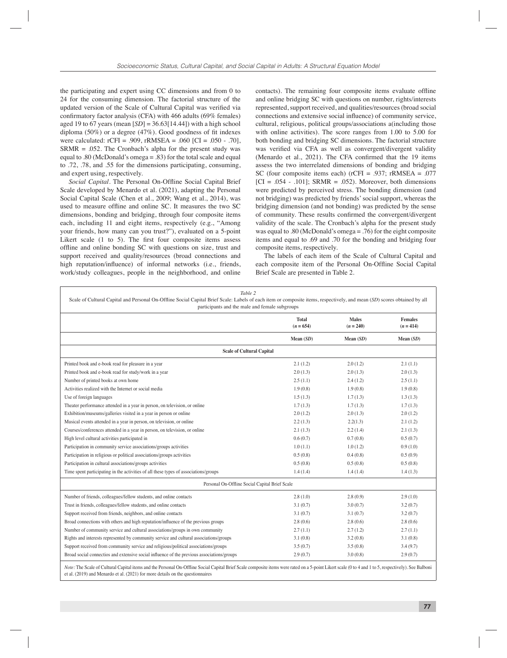the participating and expert using CC dimensions and from 0 to 24 for the consuming dimension. The factorial structure of the updated version of the Scale of Cultural Capital was verified via confirmatory factor analysis (CFA) with 466 adults  $(69\%$  females) aged 19 to 67 years (mean  $[SD] = 36.63[14.44]$ ) with a high school diploma (50%) or a degree (47%). Good goodness of fit indexes were calculated:  $rCFI = .909$ ,  $rRMSEA = .060$   $|CI = .050 - .70$ ,  $SRMR = .052$ . The Cronbach's alpha for the present study was equal to .80 (McDonald's omega = .83) for the total scale and equal to .72, .78, and .55 for the dimensions participating, consuming, and expert using, respectively.

*Social Capital*. The Personal On-Offline Social Capital Brief Scale developed by Menardo et al. (2021), adapting the Personal Social Capital Scale (Chen et al., 2009; Wang et al., 2014), was used to measure offline and online SC. It measures the two SC dimensions, bonding and bridging, through four composite items each, including 11 and eight items, respectively (e.g., "Among your friends, how many can you trust?"), evaluated on a 5-point Likert scale  $(1 \t{to} 5)$ . The first four composite items assess offline and online bonding SC with questions on size, trust and support received and quality/resources (broad connections and high reputation/influence) of informal networks (i.e., friends, work/study colleagues, people in the neighborhood, and online

contacts). The remaining four composite items evaluate offline and online bridging SC with questions on number, rights/interests represented, support received, and qualities/resources (broad social connections and extensive social influence) of community service, cultural, religious, political groups/associations a(including those with online activities). The score ranges from 1.00 to 5.00 for both bonding and bridging SC dimensions. The factorial structure was verified via CFA as well as convergent/divergent validity (Menardo et al.,  $2021$ ). The CFA confirmed that the 19 items assess the two interrelated dimensions of bonding and bridging SC (four composite items each) (rCFI = .937; rRMSEA = .077  $[CI = .054 - .101]$ ; SRMR = .052). Moreover, both dimensions were predicted by perceived stress. The bonding dimension (and not bridging) was predicted by friends' social support, whereas the bridging dimension (and not bonding) was predicted by the sense of community. These results confirmed the convergent/divergent validity of the scale. The Cronbach's alpha for the present study was equal to .80 (McDonald's omega = .76) for the eight composite items and equal to .69 and .70 for the bonding and bridging four composite items, respectively.

The labels of each item of the Scale of Cultural Capital and each composite item of the Personal On-Offline Social Capital Brief Scale are presented in Table 2.

| Table 2<br>Scale of Cultural Capital and Personal On-Offline Social Capital Brief Scale: Labels of each item or composite items, respectively, and mean (SD) scores obtained by all<br>participants and the male and female subgroups |                             |                             |                               |  |
|---------------------------------------------------------------------------------------------------------------------------------------------------------------------------------------------------------------------------------------|-----------------------------|-----------------------------|-------------------------------|--|
|                                                                                                                                                                                                                                       | <b>Total</b><br>$(n = 654)$ | <b>Males</b><br>$(n = 240)$ | <b>Females</b><br>$(n = 414)$ |  |
|                                                                                                                                                                                                                                       | Mean $(SD)$                 | Mean $(SD)$                 | Mean $(SD)$                   |  |
| <b>Scale of Cultural Capital</b>                                                                                                                                                                                                      |                             |                             |                               |  |
| Printed book and e-book read for pleasure in a year                                                                                                                                                                                   | 2.1(1.2)                    | 2.0(1.2)                    | 2.1(1.1)                      |  |
| Printed book and e-book read for study/work in a year                                                                                                                                                                                 | 2.0(1.3)                    | 2.0(1.3)                    | 2.0(1.3)                      |  |
| Number of printed books at own home                                                                                                                                                                                                   | 2.5(1.1)                    | 2.4(1.2)                    | 2.5(1.1)                      |  |
| Activities realized with the Internet or social media                                                                                                                                                                                 | 1.9(0.8)                    | 1.9(0.8)                    | 1.9(0.8)                      |  |
| Use of foreign languages                                                                                                                                                                                                              | 1.5(1.3)                    | 1.7(1.3)                    | 1.3(1.3)                      |  |
| Theater performance attended in a year in person, on television, or online                                                                                                                                                            | 1.7(1.3)                    | 1.7(1.3)                    | 1.7(1.3)                      |  |
| Exhibition/museums/galleries visited in a year in person or online                                                                                                                                                                    | 2.0(1.2)                    | 2.0(1.3)                    | 2.0(1.2)                      |  |
| Musical events attended in a year in person, on television, or online                                                                                                                                                                 | 2.2(1.3)                    | 2.2(1.3)                    | 2.1(1.2)                      |  |
| Courses/conferences attended in a year in person, on television, or online                                                                                                                                                            | 2.1(1.3)                    | 2.2(1.4)                    | 2.1(1.3)                      |  |
| High level cultural activities participated in                                                                                                                                                                                        | 0.6(0.7)                    | 0.7(0.8)                    | 0.5(0.7)                      |  |
| Participation in community service associations/groups activities                                                                                                                                                                     | 1.0(1.1)                    | 1.0(1.2)                    | 0.9(1.0)                      |  |
| Participation in religious or political associations/groups activities                                                                                                                                                                | 0.5(0.8)                    | 0.4(0.8)                    | 0.5(0.9)                      |  |
| Participation in cultural associations/groups activities                                                                                                                                                                              | 0.5(0.8)                    | 0.5(0.8)                    | 0.5(0.8)                      |  |
| Time spent participating in the activities of all these types of associations/groups                                                                                                                                                  | 1.4(1.4)                    | 1.4(1.4)                    | 1.4(1.3)                      |  |
| Personal On-Offline Social Capital Brief Scale                                                                                                                                                                                        |                             |                             |                               |  |
| Number of friends, colleagues/fellow students, and online contacts                                                                                                                                                                    | 2.8(1.0)                    | 2.8(0.9)                    | 2.9(1.0)                      |  |
| Trust in friends, colleagues/fellow students, and online contacts                                                                                                                                                                     | 3.1(0.7)                    | 3.0(0.7)                    | 3.2(0.7)                      |  |
| Support received from friends, neighbors, and online contacts                                                                                                                                                                         | 3.1(0.7)                    | 3.1(0.7)                    | 3.2(0.7)                      |  |
| Broad connections with others and high reputation/influence of the previous groups                                                                                                                                                    | 2.8(0.6)                    | 2.8(0.6)                    | 2.8(0.6)                      |  |
| Number of community service and cultural associations/groups in own community                                                                                                                                                         | 2.7(1.1)                    | 2.7(1.2)                    | 2.7(1.1)                      |  |
| Rights and interests represented by community service and cultural associations/groups                                                                                                                                                | 3.1(0.8)                    | 3.2(0.8)                    | 3.1(0.8)                      |  |
| Support received from community service and religious/political associations/groups                                                                                                                                                   | 3.5(0.7)                    | 3.5(0.8)                    | 3.4(9.7)                      |  |
| Broad social connectios and extensive social influence of the previous associations/groups                                                                                                                                            | 2.9(0.7)                    | 3.0(0.8)                    | 2.9(0.7)                      |  |
| Note: The Scale of Cultural Capital items and the Personal On-Offline Social Capital Brief Scale composite items were rated on a 5-point Likert scale (0 to 4 and 1 to 5, respectively). See Balboni                                  |                             |                             |                               |  |

et al. (2019) and Menardo et al. (2021) for more details on the questionnaires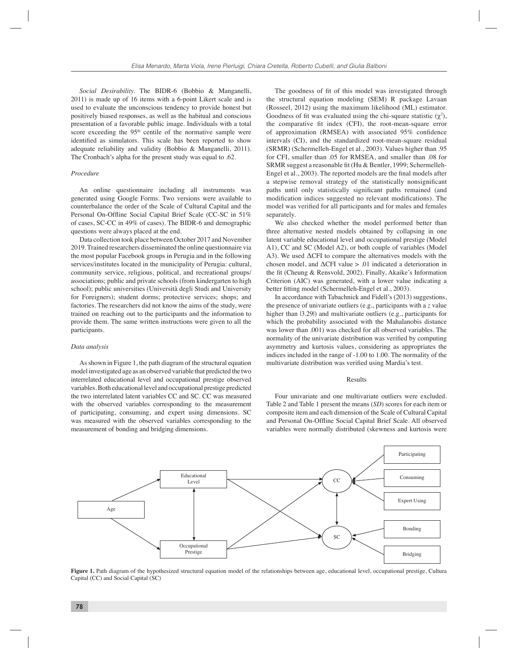*Social Desirability.* The BIDR-6 (Bobbio & Manganelli, 2011) is made up of 16 items with a 6-point Likert scale and is used to evaluate the unconscious tendency to provide honest but positively biased responses, as well as the habitual and conscious presentation of a favorable public image. Individuals with a total score exceeding the 95<sup>th</sup> centile of the normative sample were identified as simulators. This scale has been reported to show adequate reliability and validity (Bobbio & Manganelli, 2011). The Cronbach's alpha for the present study was equal to .62.

#### *Procedure*

An online questionnaire including all instruments was generated using Google Forms. Two versions were available to counterbalance the order of the Scale of Cultural Capital and the Personal On-Offline Social Capital Brief Scale (CC-SC in 51%) of cases, SC-CC in 49% of cases). The BIDR-6 and demographic questions were always placed at the end.

Data collection took place between October 2017 and November 2019. Trained researchers disseminated the online questionnaire via the most popular Facebook groups in Perugia and in the following services/institutes located in the municipality of Perugia: cultural, community service, religious, political, and recreational groups/ associations; public and private schools (from kindergarten to high school); public universities (Università degli Studi and University for Foreigners); student dorms; protective services; shops; and factories. The researchers did not know the aims of the study, were trained on reaching out to the participants and the information to provide them. The same written instructions were given to all the participants.

# *Data analysis*

As shown in Figure 1, the path diagram of the structural equation model investigated age as an observed variable that predicted the two interrelated educational level and occupational prestige observed variables. Both educational level and occupational prestige predicted the two interrelated latent variables CC and SC. CC was measured with the observed variables corresponding to the measurement of participating, consuming, and expert using dimensions. SC was measured with the observed variables corresponding to the measurement of bonding and bridging dimensions.

The goodness of fit of this model was investigated through the structural equation modeling (SEM) R package Lavaan (Rosseel, 2012) using the maximum likelihood (ML) estimator. Goodness of fit was evaluated using the chi-square statistic  $(\chi^2)$ , the comparative fit index (CFI), the root-mean-square error of approximation (RMSEA) with associated  $95\%$  confidence intervals (CI), and the standardized root-mean-square residual (SRMR) (Schermelleh-Engel et al., 2003). Values higher than .95 for CFI, smaller than .05 for RMSEA, and smaller than .08 for SRMR suggest a reasonable fit (Hu & Bentler, 1999; Schermelleh-Engel et al., 2003). The reported models are the final models after a stepwise removal strategy of the statistically nonsignificant paths until only statistically significant paths remained (and modification indices suggested no relevant modifications). The model was verified for all participants and for males and females separately.

We also checked whether the model performed better than three alternative nested models obtained by collapsing in one latent variable educational level and occupational prestige (Model A1), CC and SC (Model A2), or both couple of variables (Model A3). We used ΔCFI to compare the alternatives models with the chosen model, and  $\Delta$ CFI value  $> 0.01$  indicated a deterioration in the fit (Cheung & Rensvold, 2002). Finally, Akaike's Information Criterion (AIC) was generated, with a lower value indicating a better fitting model (Schermelleh-Engel et al., 2003).

In accordance with Tabachnick and Fidell's (2013) suggestions, the presence of univariate outliers (e.g., participants with a *z* value higher than  $|3.29|$ ) and multivariate outliers (e.g., participants for which the probability associated with the Mahalanobis distance was lower than .001) was checked for all observed variables. The normality of the univariate distribution was verified by computing asymmetry and kurtosis values, considering as appropriates the indices included in the range of -1.00 to 1.00. The normality of the multivariate distribution was verified using Mardia's test.

## Results

Four univariate and one multivariate outliers were excluded. Table 2 and Table 1 present the means (*SD*) scores for each item or composite item and each dimension of the Scale of Cultural Capital and Personal On-Offline Social Capital Brief Scale. All observed variables were normally distributed (skewness and kurtosis were



**Figure 1.** Path diagram of the hypothesized structural equation model of the relationships between age, educational level, occupational prestige, Cultura Capital (CC) and Social Capital (SC)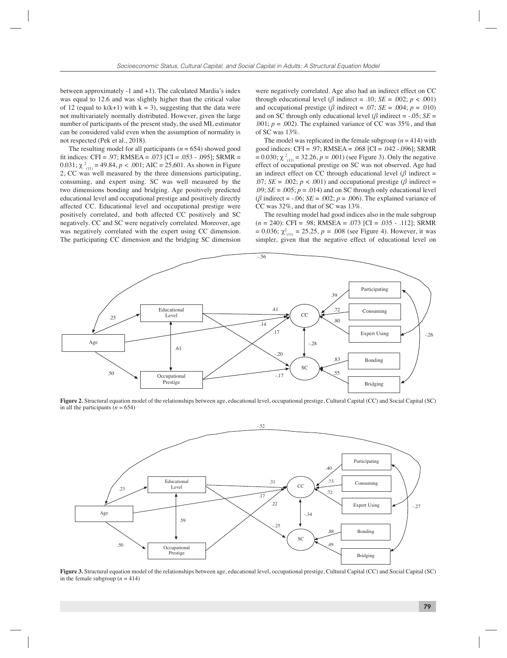between approximately -1 and +1). The calculated Mardia's index was equal to 12.6 and was slightly higher than the critical value of 12 (equal to  $k(k+1)$  with  $k = 3$ ), suggesting that the data were not multivariately normally distributed. However, given the large number of participants of the present study, the used ML estimator can be considered valid even when the assumption of normality is not respected (Pek et al., 2018).

The resulting model for all participants  $(n = 654)$  showed good fit indices: CFI = .97; RMSEA = .073 [CI = .053 - .095]; SRMR = 0.031;  $\chi^2_{(11)} = 49.84$ ,  $p < .001$ ; AIC = 25,601. As shown in Figure 2, CC was well measured by the three dimensions participating, consuming, and expert using. SC was well measured by the two dimensions bonding and bridging. Age positively predicted educational level and occupational prestige and positively directly affected CC. Educational level and occupational prestige were positively correlated, and both affected CC positively and SC negatively. CC and SC were negatively correlated. Moreover, age was negatively correlated with the expert using CC dimension. The participating CC dimension and the bridging SC dimension

were negatively correlated. Age also had an indirect effect on CC through educational level ( $\beta$  indirect = .10; *SE* = .002;  $p < .001$ ) and occupational prestige ( $\beta$  indirect = .07; *SE* = .004;  $p = .010$ ) and on SC through only educational level ( $\beta$  indirect = -.05; *SE* = .001;  $p = .002$ ). The explained variance of CC was 35%, and that of SC was 13%.

The model was replicated in the female subgroup  $(n = 414)$  with good indices: CFI = .97; RMSEA = .068 [CI = .042 -.096]; SRMR = 0.030;  $\chi^2$ <sub>(11)</sub> = 32.26, *p* = .001) (see Figure 3). Only the negative effect of occupational prestige on SC was not observed. Age had an indirect effect on CC through educational level ( $\beta$  indirect = .07;  $SE = .002$ ;  $p < .001$ ) and occupational prestige ( $\beta$  indirect = .09;  $SE = .005$ ;  $p = .014$ ) and on SC through only educational level ( $\beta$  indirect = -.06; *SE* = .002;  $p = .006$ ). The explained variance of CC was 32%, and that of SC was 13%.

The resulting model had good indices also in the male subgroup (*n* = 240): CFI = .98; RMSEA = .073 [CI = .035 - .112]; SRMR  $= 0.036$ ;  $\chi^2_{(11)} = 25.25$ ,  $p = .008$  (see Figure 4). However, it was simpler, given that the negative effect of educational level on



**Figure 2.** Structural equation model of the relationships between age, educational level, occupational prestige, Cultural Capital (CC) and Social Capital (SC) in all the participants  $(n = 654)$ 



**Figure 3.** Structural equation model of the relationships between age, educational level, occupational prestige, Cultural Capital (CC) and Social Capital (SC) in the female subgroup  $(n = 414)$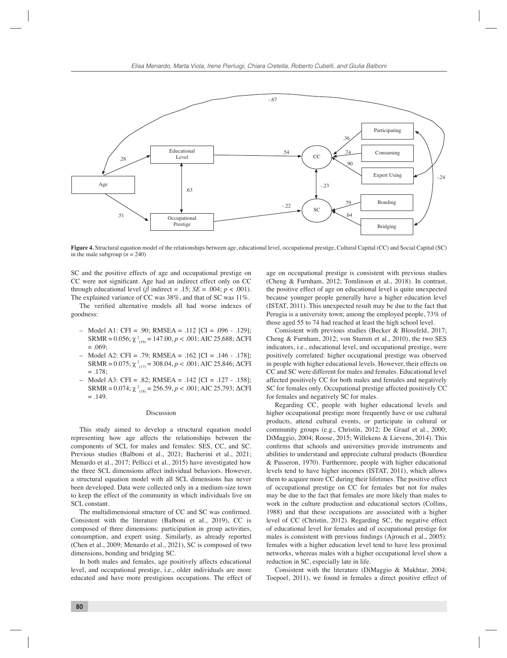

**Figure 4.** Structural equation model of the relationships between age, educational level, occupational prestige, Cultural Capital (CC) and Social Capital (SC) in the male subgroup  $(n = 240)$ 

SC and the positive effects of age and occupational prestige on CC were not significant. Age had an indirect effect only on CC through educational level ( $\beta$  indirect = .15; *SE* = .004;  $p < .001$ ). The explained variance of CC was 38%, and that of SC was 11%.

The verified alternative models all had worse indexes of goodness:

- Model A1: CFI = .90; RMSEA = .112 [CI = .096 .129]; SRMR = 0.056;  $\chi^2_{(16)}$  = 147.00,  $p < .001$ ; AIC 25,688; ΔCFI  $= 0.69$
- Model A2: CFI = .79; RMSEA = .162 [CI = .146 .178]; SRMR =  $0.075$ ;  $\chi^2_{(17)}$  = 308.04,  $p < .001$ ; AIC 25,846;  $\Delta$ CFI  $= .178$ ;
- Model A3: CFI = .82; RMSEA = .142 [CI = .127 .158]; SRMR =  $0.074$ ;  $\chi^2_{(18)} = 256.59$ ,  $p < .001$ ; AIC 25,793;  $\Delta$ CFI  $=.149.$

#### Discussion

This study aimed to develop a structural equation model representing how age affects the relationships between the components of SCL for males and females: SES, CC, and SC. Previous studies (Balboni et al., 2021; Bacherini et al., 2021; Menardo et al., 2017; Pellicci et al., 2015) have investigated how the three SCL dimensions affect individual behaviors. However, a structural equation model with all SCL dimensions has never been developed. Data were collected only in a medium-size town to keep the effect of the community in which individuals live on SCL constant.

The multidimensional structure of CC and SC was confirmed. Consistent with the literature (Balboni et al., 2019), CC is composed of three dimensions: participation in group activities, consumption, and expert using. Similarly, as already reported (Chen et al., 2009; Menardo et al., 2021), SC is composed of two dimensions, bonding and bridging SC.

In both males and females, age positively affects educational level, and occupational prestige, i.e., older individuals are more educated and have more prestigious occupations. The effect of age on occupational prestige is consistent with previous studies (Cheng & Furnham, 2012; Tomlinson et al., 2018). In contrast, the positive effect of age on educational level is quite unexpected because younger people generally have a higher education level (ISTAT, 2011). This unexpected result may be due to the fact that Perugia is a university town; among the employed people, 73% of those aged 55 to 74 had reached at least the high school level.

Consistent with previous studies (Becker & Blossfeld, 2017; Cheng & Furnham, 2012; von Stumm et al., 2010), the two SES indicators, i.e., educational level, and occupational prestige, were positively correlated: higher occupational prestige was observed in people with higher educational levels. However, their effects on CC and SC were different for males and females. Educational level affected positively CC for both males and females and negatively SC for females only. Occupational prestige affected positively CC for females and negatively SC for males.

Regarding CC, people with higher educational levels and higher occupational prestige more frequently have or use cultural products, attend cultural events, or participate in cultural or community groups (e.g., Christin, 2012; De Graaf et al., 2000; DiMaggio, 2004; Roose, 2015; Willekens & Lievens, 2014). This confirms that schools and universities provide instruments and abilities to understand and appreciate cultural products (Bourdieu & Passeron, 1970). Furthermore, people with higher educational levels tend to have higher incomes (ISTAT, 2011), which allows them to acquire more CC during their lifetimes. The positive effect of occupational prestige on CC for females but not for males may be due to the fact that females are more likely than males to work in the culture production and educational sectors (Collins, 1988) and that these occupations are associated with a higher level of CC (Christin, 2012). Regarding SC, the negative effect of educational level for females and of occupational prestige for males is consistent with previous findings (Ajrouch et al., 2005): females with a higher education level tend to have less proximal networks, whereas males with a higher occupational level show a reduction in SC, especially late in life.

Consistent with the literature (DiMaggio & Mukhtar, 2004; Toepoel, 2011), we found in females a direct positive effect of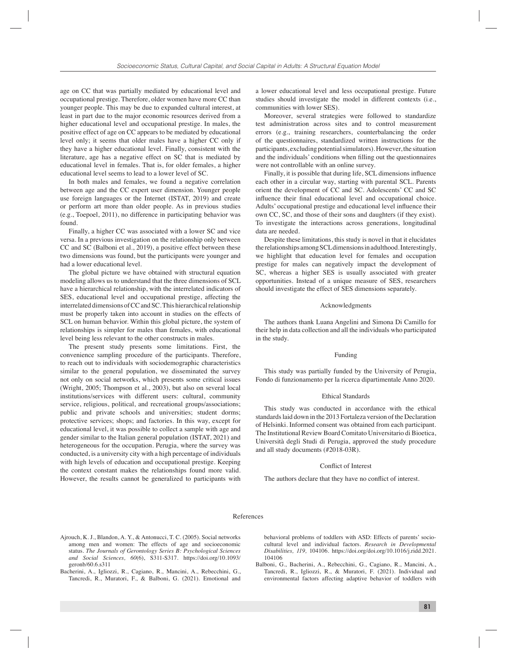age on CC that was partially mediated by educational level and occupational prestige. Therefore, older women have more CC than younger people. This may be due to expanded cultural interest, at least in part due to the major economic resources derived from a higher educational level and occupational prestige. In males, the positive effect of age on CC appears to be mediated by educational level only; it seems that older males have a higher CC only if they have a higher educational level. Finally, consistent with the literature, age has a negative effect on SC that is mediated by educational level in females. That is, for older females, a higher educational level seems to lead to a lower level of SC.

In both males and females, we found a negative correlation between age and the CC expert user dimension. Younger people use foreign languages or the Internet (ISTAT, 2019) and create or perform art more than older people. As in previous studies (e.g., Toepoel, 2011), no difference in participating behavior was found.

Finally, a higher CC was associated with a lower SC and vice versa. In a previous investigation on the relationship only between CC and SC (Balboni et al., 2019), a positive effect between these two dimensions was found, but the participants were younger and had a lower educational level.

The global picture we have obtained with structural equation modeling allows us to understand that the three dimensions of SCL have a hierarchical relationship, with the interrelated indicators of SES, educational level and occupational prestige, affecting the interrelated dimensions of CC and SC. This hierarchical relationship must be properly taken into account in studies on the effects of SCL on human behavior. Within this global picture, the system of relationships is simpler for males than females, with educational level being less relevant to the other constructs in males.

The present study presents some limitations. First, the convenience sampling procedure of the participants. Therefore, to reach out to individuals with sociodemographic characteristics similar to the general population, we disseminated the survey not only on social networks, which presents some critical issues (Wright, 2005; Thompson et al., 2003), but also on several local institutions/services with different users: cultural, community service, religious, political, and recreational groups/associations; public and private schools and universities; student dorms; protective services; shops; and factories. In this way, except for educational level, it was possible to collect a sample with age and gender similar to the Italian general population (ISTAT, 2021) and heterogeneous for the occupation. Perugia, where the survey was conducted, is a university city with a high percentage of individuals with high levels of education and occupational prestige. Keeping the context constant makes the relationships found more valid. However, the results cannot be generalized to participants with

a lower educational level and less occupational prestige. Future studies should investigate the model in different contexts (i.e., communities with lower SES).

Moreover, several strategies were followed to standardize test administration across sites and to control measurement errors (e.g., training researchers, counterbalancing the order of the questionnaires, standardized written instructions for the participants, excluding potential simulators). However, the situation and the individuals' conditions when filling out the questionnaires were not controllable with an online survey.

Finally, it is possible that during life, SCL dimensions influence each other in a circular way, starting with parental SCL. Parents orient the development of CC and SC. Adolescents' CC and SC influence their final educational level and occupational choice. Adults' occupational prestige and educational level influence their own CC, SC, and those of their sons and daughters (if they exist). To investigate the interactions across generations, longitudinal data are needed.

Despite these limitations, this study is novel in that it elucidates the relationships among SCL dimensions in adulthood. Interestingly, we highlight that education level for females and occupation prestige for males can negatively impact the development of SC, whereas a higher SES is usually associated with greater opportunities. Instead of a unique measure of SES, researchers should investigate the effect of SES dimensions separately.

# Acknowledgments

The authors thank Luana Angelini and Simona Di Camillo for their help in data collection and all the individuals who participated in the study.

# Funding

This study was partially funded by the University of Perugia, Fondo di funzionamento per la ricerca dipartimentale Anno 2020.

## Ethical Standards

This study was conducted in accordance with the ethical standards laid down in the 2013 Fortaleza version of the Declaration of Helsinki. Informed consent was obtained from each participant. The Institutional Review Board Comitato Universitario di Bioetica, Università degli Studi di Perugia, approved the study procedure and all study documents (#2018-03R).

#### Conflict of Interest

The authors declare that they have no conflict of interest.

#### References

- Ajrouch, K. J., Blandon, A. Y., & Antonucci, T. C. (2005). Social networks among men and women: The effects of age and socioeconomic status. *The Journals of Gerontology Series B: Psychological Sciences and Social Sciences, 60*(6), S311-S317. https://doi.org/10.1093/ geronb/60.6.s311
- Bacherini, A., Igliozzi, R., Cagiano, R., Mancini, A., Rebecchini, G., Tancredi, R., Muratori, F., & Balboni, G. (2021). Emotional and

behavioral problems of toddlers with ASD: Effects of parents' sociocultural level and individual factors. *Research in Developmental Disabilities, 119,* 104106. https://doi.org/doi.org/10.1016/j.ridd.2021. 104106

Balboni, G., Bacherini, A., Rebecchini, G., Cagiano, R., Mancini, A., Tancredi, R., Igliozzi, R., & Muratori, F. (2021). Individual and environmental factors affecting adaptive behavior of toddlers with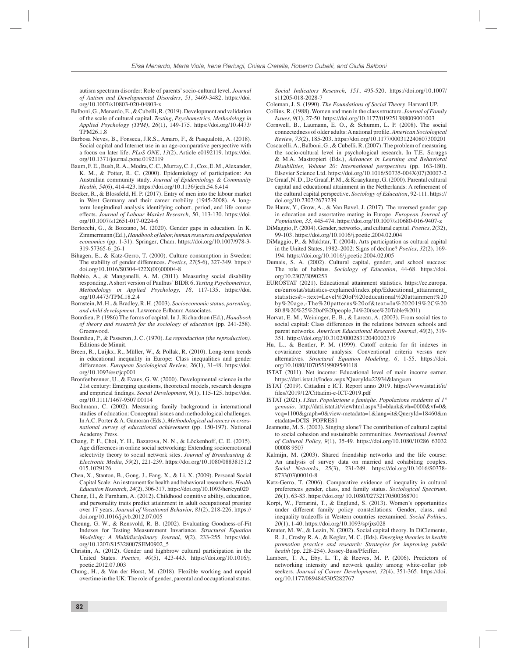autism spectrum disorder: Role of parents' socio-cultural level. *Journal of Autism and Developmental Disorders, 51*, 3469-3482. https://doi. org/10.1007/s10803-020-04803-x

- Balboni, G., Menardo, E., & Cubelli, R. (2019). Development and validation of the scale of cultural capital. *Testing, Psychometrics, Methodology in Applied Psychology (TPM)*, *26*(1), 149-175. https://doi.org/10.4473/ TPM26.1.8
- Barbosa Neves, B., Fonseca, J.R.S., Amaro, F., & Pasqualotti, A. (2018). Social capital and Internet use in an age-comparative perspective with a focus on later life. *PLoS ONE*, *13*(2), Article e0192119. https://doi. org/10.1371/journal.pone.0192119
- Baum, F. E., Bush, R. A., Modra, C. C., Murray, C. J., Cox, E. M., Alexander, K. M., & Potter, R. C. (2000). Epidemiology of participation: An Australian community study. *Journal of Epidemiology & Community Health, 54*(6), 414-423. https://doi.org/10.1136/jech.54.6.414
- Becker, R., & Blossfeld, H. P. (2017). Entry of men into the labour market in West Germany and their career mobility (1945-2008). A longterm longitudinal analysis identifying cohort, period, and life course effects. *Journal of Labour Market Research, 50*, 113-130. https://doi. org/10.1007/s12651-017-0224-6
- Bertocchi, G., & Bozzano, M. (2020). Gender gaps in education. In K. Zimmermann (Ed.), *Handbook of labor, human resources and population economics* (pp. 1-31). Springer, Cham. https://doi.org/10.1007/978-3- 319-57365-6\_26-1
- Bihagen, E., & Katz-Gerro, T. (2000). Culture consumption in Sweden: The stability of gender differences. *Poetics, 27*(5-6), 327-349. https:// doi.org/10.1016/S0304-422X(00)00004-8
- Bobbio, A., & Manganelli, A. M. (2011). Measuring social disability responding. A short version of Paulhus' BIDR 6. *Testing Psychometrics, Methodology in Applied Psychology, 18,* 117-135. https://doi. org/10.4473/TPM.18.2.4
- Bornstein, M. H., & Bradley, R. H. (2003). *Socioeconomic status, parenting, and child development.* Lawrence Erlbaum Associates.
- Bourdieu, P. (1986) The forms of capital. In J. Richardson (Ed.), *Handbook of theory and research for the sociology of education* (pp. 241-258). Greenwood.
- Bourdieu, P., & Passeron, J. C. (1970). *La reproduction (the reproduction)*. Editions de Minuit.
- Breen, R., Luijkx, R., Müller, W., & Pollak, R. (2010). Long-term trends in educational inequality in Europe: Class inequalities and gender differences. *European Sociological Review, 26*(1), 31-48. https://doi. org/10.1093/esr/jcp001
- Bronfenbrenner, U., & Evans, G. W. (2000). Developmental science in the 21st century: Emerging questions, theoretical models, research designs and empirical findings. *Social Development*, 9(1), 115-125. https://doi. org/10.1111/1467-9507.00114
- Buchmann, C. (2002). Measuring family background in international studies of education: Conceptual issues and methodological challenges. In A.C. Porter & A. Gamoran (Eds.), *Methodological advances in crossnational survey of educational achievement* (pp. 150-197). National Academy Press.
- Chang, P. F., Choi, Y. H., Bazarova, N. N., & Löckenhoff, C. E. (2015). Age differences in online social networking: Extending socioemotional selectivity theory to social network sites. *Journal of Broadcasting & Electronic Media, 59*(2), 221-239. https://doi.org/10.1080/08838151.2 015.1029126
- Chen, X., Stanton, B., Gong, J., Fang, X., & Li, X. (2009). Personal Social Capital Scale: An instrument for health and behavioral researchers. *Health Education Research, 24*(2), 306-317. https://doi.org/10.1093/her/cyn020
- Cheng, H., & Furnham, A. (2012). Childhood cognitive ability, education, and personality traits predict attainment in adult occupational prestige over 17 years. *Journal of Vocational Behavior, 81*(2), 218-226. https:// doi.org/10.1016/j.jvb.2012.07.005
- Cheung, G. W., & Rensvold, R. B. (2002). Evaluating Goodness-of-Fit Indexes for Testing Measurement Invariance. *Structural Equation Modeling: A Multidisciplinary Journal*, *9*(2), 233-255. https://doi. org/10.1207/S15328007SEM0902\_5
- Christin, A. (2012). Gender and highbrow cultural participation in the United States. *Poetics, 40*(5), 423-443. https://doi.org/10.1016/j. poetic.2012.07.003
- Chung, H., & Van der Horst, M. (2018). Flexible working and unpaid overtime in the UK: The role of gender, parental and occupational status.

*Social Indicators Research, 151*, 495-520. https://doi.org/10.1007/ s11205-018-2028-7

- Coleman, J. S. (1990). *The Foundations of Social Theory*. Harvard UP.
- Collins, R. (1988). Women and men in the class structure. *Journal of Family Issues, 9*(1), 27-50. https://doi.org/10.1177/019251388009001003
- Cornwell, B., Laumann, E. O., & Schumm, L. P. (2008). The social connectedness of older adults: A national profi le. *American Sociological Review, 73*(2), 185-203. https://doi.org/10.1177/000312240807300201
- Coscarelli, A., Balboni, G., & Cubelli, R. (2007). The problem of measuring the socio-cultural level in psychological research. In T.E. Scruggs & M.A. Mastropieri (Eds.), *Advances in Learning and Behavioral Disabilities, Volume 20: International perspectives* (pp. 163-180). Elsevier Science Ltd. https://doi.org/10.1016/S0735-004X(07)20007-2
- De Graaf, N. D., De Graaf, P. M., & Kraaykamp, G. (2000). Parental cultural capital and educational attainment in the Netherlands: A refinement of the cultural capital perspective. *Sociology of Education*, 92-111. https:// doi.org/10.2307/2673239
- De Hauw, Y., Grow, A., & Van Bavel, J. (2017). The reversed gender gap in education and assortative mating in Europe. *European Journal of Population, 33,* 445-474. https://doi.org/10.1007/s10680-016-9407-z
- DiMaggio, P. (2004). Gender, networks, and cultural capital. *Poetics, 2*(32), 99-103. https://doi.org/10.1016/j.poetic.2004.02.004
- DiMaggio, P., & Mukhtar, T. (2004). Arts participation as cultural capital in the United States, 1982–2002: Signs of decline? *Poetics, 32*(2), 169- 194. https://doi.org/10.1016/j.poetic.2004.02.005
- Dumais, S. A. (2002). Cultural capital, gender, and school success: The role of habitus. *Sociology of Education*, 44-68. https://doi. org/10.2307/3090253
- EUROSTAT (2021). Educational attainment statistics. https://ec.europa. eu/eurostat/statistics-explained/index.php/Educational\_attainment\_ statistics#:~:text=Level%20of%20educational%20attainment%20 by%20age,-The%20patterns%20of&text=In%202019%2C%20 80.8%20%25%20of%20people,74%20(see%20Table%201)
- Horvat, E. M., Weininger, E. B., & Lareau, A. (2003). From social ties to social capital: Class differences in the relations between schools and parent networks. *American Educational Research Journal, 40*(2), 319- 351. https://doi.org/10.3102/00028312040002319
- Hu, L., & Bentler, P. M. (1999). Cutoff criteria for fit indexes in covariance structure analysis: Conventional criteria versus new alternatives. *Structural Equation Modeling, 6,* 1-55. https://doi. org/10.1080/10705519909540118
- ISTAT (2011). Net income: Educational level of main income earner. https://dati.istat.it/Index.aspx?QueryId=22934&lang=en
- ISTAT (2019). Cittadini e ICT. Report anno 2019. https://www.istat.it/it/ fi les//2019/12/Cittadini-e-ICT-2019.pdf
- ISTAT (2021). *I.Stat. Popolazione e famiglie. Popolazione residente al 1° gennaio.* http://dati.istat.it/viewhtml.aspx?il=blank&vh=0000&vf=0& vcq=1100&graph=0&view-metadata=1&lang=it&QueryId=18460&m etadata=DCIS\_POPRES1
- Jeannotte, M. S. (2003). Singing alone? The contribution of cultural capital to social cohesion and sustainable communities. *International Journal of Cultural Policy, 9*(1), 35-49. https://doi.org/10.1080/10286 63032 00008 9507
- Kalmijn, M. (2003). Shared friendship networks and the life course: An analysis of survey data on married and cohabiting couples. *Social Networks, 25*(3), 231-249. https://doi.org/10.1016/S0378- 8733(03)00010-8
- Katz-Gerro, T. (2006). Comparative evidence of inequality in cultural preferences gender, class, and family status. *Sociological Spectrum, 26*(1), 63-83. https://doi.org/ 10.1080/02732170500368701
- Korpi, W., Ferrarini, T., & Englund, S. (2013). Women's opportunities under different family policy constellations: Gender, class, and inequality tradeoffs in Western countries reexamined. *Social Politics, 20*(1), 1-40. https://doi.org/10.1093/sp/jxs028
- Kreuter, M. W., & Lezin, N. (2002). Social capital theory. In DiClemente, R. J., Crosby R. A., & Kegler, M. C. (Eds). *Emerging theories in health promotion practice and research: Strategies for improving public health* (pp. 228-254). Jossey-Bass/Pfeiffer*.*
- Lambert, T. A., Eby, L. T., & Reeves, M. P. (2006). Predictors of networking intensity and network quality among white-collar job seekers. *Journal of Career Development, 32*(4), 351-365. https://doi. org/10.1177/0894845305282767